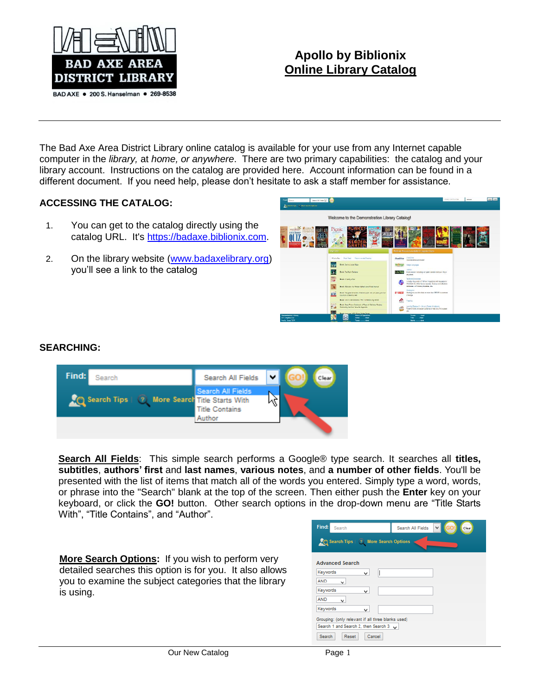

# **Apollo by Biblionix Online Library Catalog**

The Bad Axe Area District Library online catalog is available for your use from any Internet capable computer in the *library,* at *home, or anywhere*. There are two primary capabilities: the catalog and your library account. Instructions on the catalog are provided here. Account information can be found in a different document. If you need help, please don't hesitate to ask a staff member for assistance.

## **ACCESSING THE CATALOG:**

- 1. You can get to the catalog directly using the catalog URL. It's [https://badaxe.biblionix.com.](https://badaxe.biblionix.com/)
- 2. On the library website [\(www.badaxelibrary.org\)](http://www.badaxelibrary.org/) you'll see a link to the catalog



### **SEARCHING:**



**Search All Fields**: This simple search performs a Google® type search. It searches all **titles, subtitles**, **authors' first** and **last names**, **various notes**, and **a number of other fields**. You'll be presented with the list of items that match all of the words you entered. Simply type a word, words, or phrase into the "Search" blank at the top of the screen. Then either push the **Enter** key on your keyboard, or click the **GO!** button. Other search options in the drop-down menu are "Title Starts With", "Title Contains", and "Author".

**More Search Options:** If you wish to perform very detailed searches this option is for you. It also allows you to examine the subject categories that the library is using.

| Find:<br>Search                                          | Search All Fields<br>Clear |  |  |  |  |  |  |
|----------------------------------------------------------|----------------------------|--|--|--|--|--|--|
| $\bullet$ Search Tips $\mid$ $\circ$ More Search Options |                            |  |  |  |  |  |  |
| <b>Advanced Search</b>                                   |                            |  |  |  |  |  |  |
| Keywords<br>v                                            |                            |  |  |  |  |  |  |
| <b>AND</b><br>v                                          |                            |  |  |  |  |  |  |
| Keywords<br>v                                            |                            |  |  |  |  |  |  |
| <b>AND</b><br>v                                          |                            |  |  |  |  |  |  |
| Keywords<br>v                                            |                            |  |  |  |  |  |  |
| Grouping: (only relevant if all three blanks used)       |                            |  |  |  |  |  |  |
| Search 1 and Search 2, then Search 3 $\sqrt{ }$          |                            |  |  |  |  |  |  |
| <b>Search</b><br>Cancel<br>Reset                         |                            |  |  |  |  |  |  |